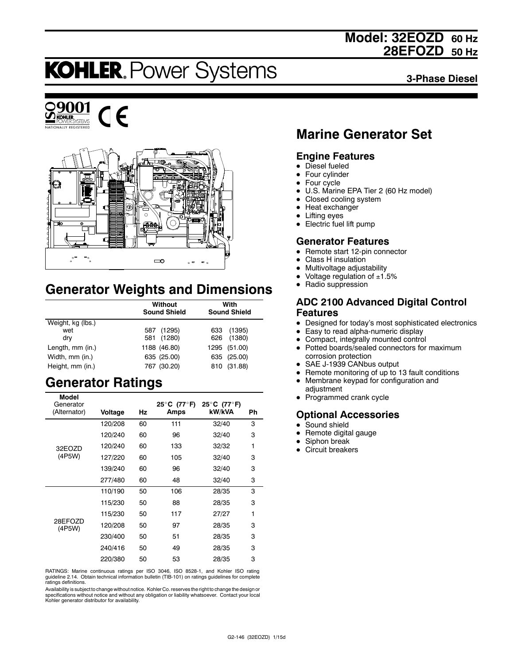## **Model: 32EOZD 60 Hz 28EFOZD 50 Hz**

# **KOHLER. Power Systems**

**3-Phase Diesel**





## **Generator Weights and Dimensions**

|                   | Without<br><b>Sound Shield</b> | With<br><b>Sound Shield</b> |
|-------------------|--------------------------------|-----------------------------|
| Weight, kg (lbs.) |                                |                             |
| wet               | (1295)<br>587                  | (1395)<br>633               |
| dry               | 581 (1280)                     | 626 (1380)                  |
| Length, mm (in.)  | 1188 (46.80)                   | 1295 (51.00)                |
| Width, mm (in.)   | 635 (25.00)                    | 635 (25.00)                 |
| Height, mm (in.)  | 767 (30.20)                    | (31.88)<br>810              |

## **Generator Ratings**

| <b>Model</b><br>Generator<br>(Alternator) | Voltage | Hz | 25°C (77°F)<br>Amps | 25°C (77°F)<br>kW/kVA | Ph |
|-------------------------------------------|---------|----|---------------------|-----------------------|----|
|                                           | 120/208 | 60 | 111                 | 32/40                 | 3  |
|                                           | 120/240 | 60 | 96                  | 32/40                 | 3  |
| 32EOZD                                    | 120/240 | 60 | 133                 | 32/32                 | 1  |
| (4P5W)                                    | 127/220 | 60 | 105                 | 32/40                 | 3  |
|                                           | 139/240 | 60 | 96                  | 32/40                 | 3  |
|                                           | 277/480 | 60 | 48                  | 32/40                 | 3  |
|                                           | 110/190 | 50 | 106                 | 28/35                 | 3  |
|                                           | 115/230 | 50 | 88                  | 28/35                 | 3  |
|                                           | 115/230 | 50 | 117                 | 27/27                 | 1  |
| 28EFOZD<br>(4P5W)                         | 120/208 | 50 | 97                  | 28/35                 | 3  |
|                                           | 230/400 | 50 | 51                  | 28/35                 | 3  |
|                                           | 240/416 | 50 | 49                  | 28/35                 | 3  |
|                                           | 220/380 | 50 | 53                  | 28/35                 | 3  |

RATINGS: Marine continuous ratings per ISO 3046, ISO 8528-1, and Kohler ISO rating guideline 2.14. Obtain technical information bulletin (TIB-101) on ratings guidelines for complete ratings definitions.

Availability is subject to change without notice. Kohler Co. reserves the right to change the design or specifications without notice and without any obligation or liability whatsoever. Contact your local Kohler generator distributor for availability.

## **Marine Generator Set**

### **Engine Features**

- $\bullet$  Diesel fueled
- Four cylinder
- $\bullet$  Four cycle
- U.S. Marine EPA Tier 2 (60 Hz model)
- Closed cooling system
- Heat exchanger
- $\bullet$  Lifting eyes
- $\bullet$  Electric fuel lift pump

### **Generator Features**

- Remote start 12-pin connector
- Class H insulation
- Multivoltage adjustability
- Voltage regulation of  $\pm 1.5\%$ <br>• Radio suppression
- Radio suppression

#### **ADC 2100 Advanced Digital Control Features**

- Designed for today's most sophisticated electronics
- Easy to read alpha-numeric display
- Compact, integrally mounted control
- Potted boards/sealed connectors for maximum corrosion protection
- SAE J-1939 CANbus output
- Remote monitoring of up to 13 fault conditions
- Membrane keypad for configuration and
- adjustment • Programmed crank cycle

#### **Optional Accessories**

- $\bullet$  Sound shield
- Remote digital gauge
- Siphon break
- Circuit breakers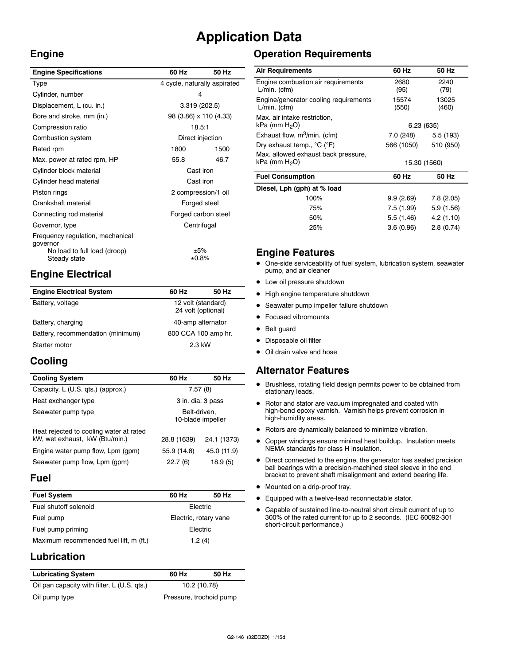## **Application Data**

## **Engine**

| <b>Engine Specifications</b>                                                                 | 60 Hz                        | 50 Hz |
|----------------------------------------------------------------------------------------------|------------------------------|-------|
| Type                                                                                         | 4 cycle, naturally aspirated |       |
| Cylinder, number                                                                             | 4                            |       |
| Displacement, L (cu. in.)                                                                    | 3.319 (202.5)                |       |
| Bore and stroke, mm (in.)                                                                    | 98 (3.86) x 110 (4.33)       |       |
| Compression ratio                                                                            | 18.5:1                       |       |
| Combustion system                                                                            | Direct injection             |       |
| Rated rpm                                                                                    | 1800                         | 1500  |
| Max. power at rated rpm, HP                                                                  | 55.8                         | 46.7  |
| Cylinder block material                                                                      | Cast iron                    |       |
| Cylinder head material                                                                       | Cast iron                    |       |
| Piston rings                                                                                 | 2 compression/1 oil          |       |
| Crankshaft material                                                                          | Forged steel                 |       |
| Connecting rod material                                                                      | Forged carbon steel          |       |
| Governor, type                                                                               | Centrifugal                  |       |
| Frequency regulation, mechanical<br>qovernor<br>No load to full load (droop)<br>Steady state | ±5%<br>±0.8%                 |       |
|                                                                                              |                              |       |

## **Engine Electrical**

| <b>Engine Electrical System</b>   | 60 Hz                                    | 50 Hz |
|-----------------------------------|------------------------------------------|-------|
| Battery, voltage                  | 12 volt (standard)<br>24 volt (optional) |       |
| Battery, charging                 | 40-amp alternator                        |       |
| Battery, recommendation (minimum) | 800 CCA 100 amp hr.                      |       |
| Starter motor                     | 2.3 kW                                   |       |

## **Cooling**

| <b>Cooling System</b>                                                     | 60 Hz                             | 50 Hz       |
|---------------------------------------------------------------------------|-----------------------------------|-------------|
| Capacity, L (U.S. qts.) (approx.)                                         | 7.57(8)                           |             |
| Heat exchanger type                                                       | 3 in. dia. 3 pass                 |             |
| Seawater pump type                                                        | Belt-driven.<br>10-blade impeller |             |
| Heat rejected to cooling water at rated<br>kW, wet exhaust, kW (Btu/min.) | 28.8 (1639)                       | 24.1 (1373) |
| Engine water pump flow, Lpm (gpm)                                         | 55.9 (14.8)                       | 45.0 (11.9) |
| Seawater pump flow, Lpm (gpm)                                             | 22.7(6)                           | 18.9 (5)    |

#### **Fuel**

| <b>Fuel System</b>                               | 60 Hz                 | 50 Hz |
|--------------------------------------------------|-----------------------|-------|
| Fuel shutoff solenoid                            | <b>Flectric</b>       |       |
| Fuel pump                                        | Electric, rotary vane |       |
| Fuel pump priming                                | <b>Flectric</b>       |       |
| Maximum recommended fuel lift, m (ft.)<br>1.2(4) |                       |       |

## **Lubrication**

| <b>Lubricating System</b>                   | 60 Hz                   | 50 Hz |
|---------------------------------------------|-------------------------|-------|
| Oil pan capacity with filter, L (U.S. qts.) | 10.2 (10.78)            |       |
| Oil pump type                               | Pressure, trochoid pump |       |

## **Operation Requirements**

| <b>Air Requirements</b>                                   | 60 Hz          | 50 Hz          |
|-----------------------------------------------------------|----------------|----------------|
| Engine combustion air requirements<br>$L/min.$ (cfm)      | 2680<br>(95)   | 2240<br>(79)   |
| Engine/generator cooling requirements<br>$L/min.$ (cfm)   | 15574<br>(550) | 13025<br>(460) |
| Max. air intake restriction,<br>kPa (mm H <sub>2</sub> O) | 6.23 (635)     |                |
| Exhaust flow, $m^3/m$ in. (cfm)                           | 7.0 (248)      | 5.5(193)       |
| Dry exhaust temp., $^{\circ}$ C ( $^{\circ}$ F)           | 566 (1050)     | 510 (950)      |
| Max. allowed exhaust back pressure,                       |                |                |
| kPa (mm H <sub>2</sub> O)                                 | 15.30 (1560)   |                |
| <b>Fuel Consumption</b>                                   | 60 Hz          | 50 Hz          |
| Diesel, Lph (gph) at % load                               |                |                |
| 100%                                                      | 9.9(2.69)      | 7.8(2.05)      |
| 75%                                                       | 7.5 (1.99)     | 5.9 (1.56)     |
| 50%                                                       | 5.5(1.46)      | 4.2 (1.10)     |
| 25%                                                       | 3.6(0.96)      | 2.8(0.74)      |

### **Engine Features**

- $\bullet$  One-side serviceability of fuel system, lubrication system, seawater pump, and air cleaner
- $\bullet$  Low oil pressure shutdown
- $\bullet$  High engine temperature shutdown
- Seawater pump impeller failure shutdown
- Focused vibromounts
- Belt guard
- Disposable oil filter
- Oil drain valve and hose

#### **Alternator Features**

- $\bullet$  Brushless, rotating field design permits power to be obtained from stationary leads.
- Rotor and stator are vacuum impregnated and coated with high-bond epoxy varnish. Varnish helps prevent corrosion in high-humidity areas.
- $\bullet$  Rotors are dynamically balanced to minimize vibration.
- Copper windings ensure minimal heat buildup. Insulation meets NEMA standards for class H insulation.
- Direct connected to the engine, the generator has sealed precision ball bearings with a precision-machined steel sleeve in the end bracket to prevent shaft misalignment and extend bearing life.
- $\bullet$  Mounted on a drip-proof tray.
- **•** Equipped with a twelve-lead reconnectable stator.
- Capable of sustained line-to-neutral short circuit current of up to 300% of the rated current for up to 2 seconds. (IEC 60092-301 short-circuit performance.)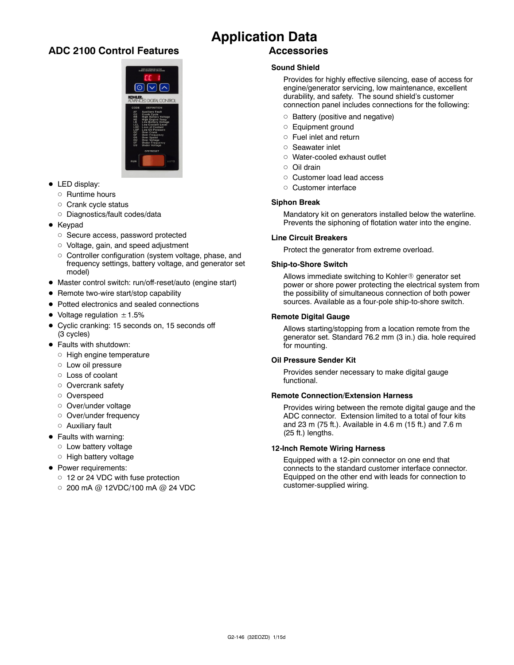### **ADC 2100 Control Features**



- $\bullet$  LED display:
	- $\circ$  Runtime hours
	- $\circ$  Crank cycle status
	- o Diagnostics/fault codes/data
- $\bullet$  Keypad
	- o Secure access, password protected
	- o Voltage, gain, and speed adjustment
	- $\circ$  Controller configuration (system voltage, phase, and frequency settings, battery voltage, and generator set model)
- Master control switch: run/off-reset/auto (engine start)
- Remote two-wire start/stop capability
- Potted electronics and sealed connections
- $\bullet$  Voltage regulation  $\pm$  1.5%
- Cyclic cranking: 15 seconds on, 15 seconds off (3 cycles)
- Faults with shutdown:
	- $\circ$  High engine temperature
	- $\circ$  Low oil pressure
	- o Loss of coolant
	- $\circ$  Overcrank safety
	- o Overspeed
	- o Over/under voltage
	- o Over/under frequency
	- $\circ$  Auxiliary fault
- Faults with warning:
	- o Low battery voltage
	- o High battery voltage
- Power requirements:
	- o 12 or 24 VDC with fuse protection
	- $\circ$  200 mA @ 12VDC/100 mA @ 24 VDC

### **Application Data Accessories**

#### **Sound Shield**

Provides for highly effective silencing, ease of access for engine/generator servicing, low maintenance, excellent durability, and safety. The sound shield's customer connection panel includes connections for the following:

- $\circ$  Battery (positive and negative)
- o Equipment ground
- $\circ$  Fuel inlet and return
- d Seawater inlet
- o Water-cooled exhaust outlet
- $\cap$  Oil drain
- o Customer load lead access
- o Customer interface

#### **Siphon Break**

Mandatory kit on generators installed below the waterline. Prevents the siphoning of flotation water into the engine.

#### **Line Circuit Breakers**

Protect the generator from extreme overload.

#### **Ship-to-Shore Switch**

Allows immediate switching to Kohler® generator set power or shore power protecting the electrical system from the possibility of simultaneous connection of both power sources. Available as a four-pole ship-to-shore switch.

#### **Remote Digital Gauge**

Allows starting/stopping from a location remote from the generator set. Standard 76.2 mm (3 in.) dia. hole required for mounting.

#### **Oil Pressure Sender Kit**

Provides sender necessary to make digital gauge functional.

#### **Remote Connection/Extension Harness**

Provides wiring between the remote digital gauge and the ADC connector. Extension limited to a total of four kits and 23 m (75 ft.). Available in 4.6 m (15 ft.) and 7.6 m (25 ft.) lengths.

#### **12-Inch Remote Wiring Harness**

Equipped with a 12-pin connector on one end that connects to the standard customer interface connector. Equipped on the other end with leads for connection to customer-supplied wiring.